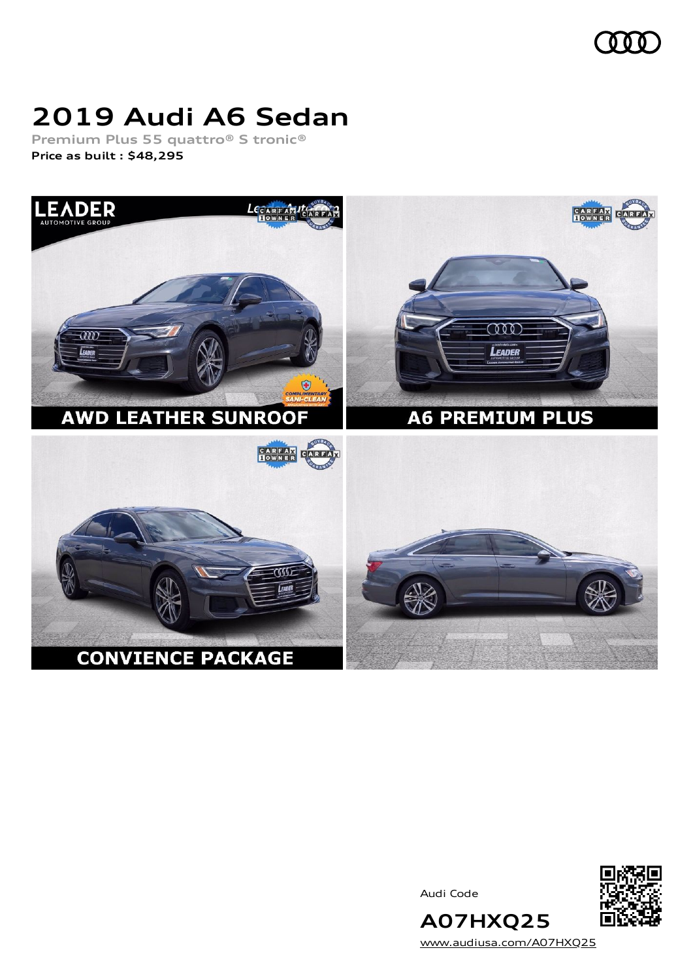

# **2019 Audi A6 Sedan**

**Premium Plus 55 quattro® S tronic® Price as built [:](#page-8-0) \$48,295**



Audi Code



[www.audiusa.com/A07HXQ25](https://www.audiusa.com/A07HXQ25)

**A07HXQ25**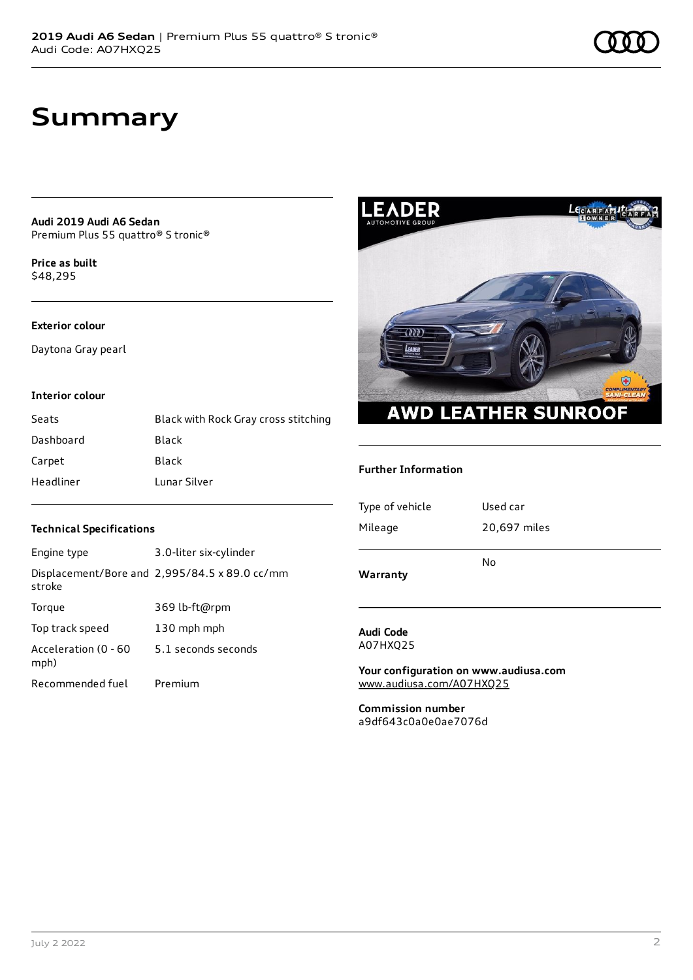## **Summary**

**Audi 2019 Audi A6 Sedan** Premium Plus 55 quattro® S tronic®

**Price as buil[t](#page-8-0)** \$48,295

#### **Exterior colour**

Daytona Gray pearl

### **Interior colour**

| Seats     | Black with Rock Gray cross stitching |
|-----------|--------------------------------------|
| Dashboard | Black                                |
| Carpet    | Black                                |
| Headliner | Lunar Silver                         |



#### **Further Information**

| Type of vehicle | Used car     |
|-----------------|--------------|
| Mileage         | 20,697 miles |
|                 | No           |
| Warranty        |              |

#### **Audi Code** A07HXQ25

**Your configuration on www.audiusa.com** [www.audiusa.com/A07HXQ25](https://www.audiusa.com/A07HXQ25)

**Commission number** a9df643c0a0e0ae7076d

### **Technical Specifications**

| Engine type                  | 3.0-liter six-cylinder                        |
|------------------------------|-----------------------------------------------|
| stroke                       | Displacement/Bore and 2,995/84.5 x 89.0 cc/mm |
| Torque                       | 369 lb-ft@rpm                                 |
| Top track speed              | 130 mph mph                                   |
| Acceleration (0 - 60<br>mph) | 5.1 seconds seconds                           |
| Recommended fuel             | Premium                                       |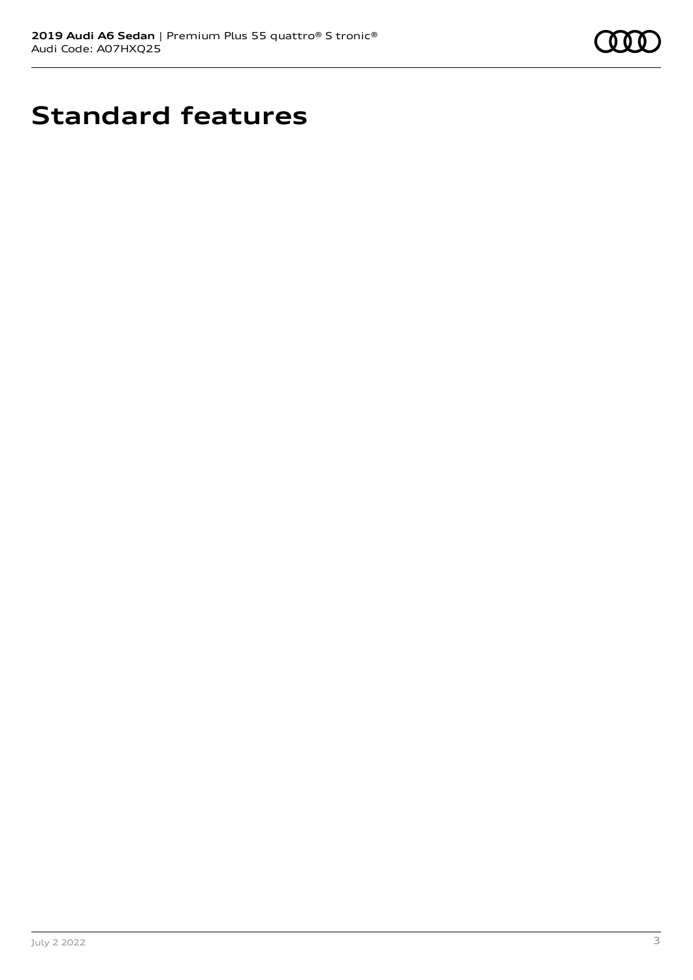

# **Standard features**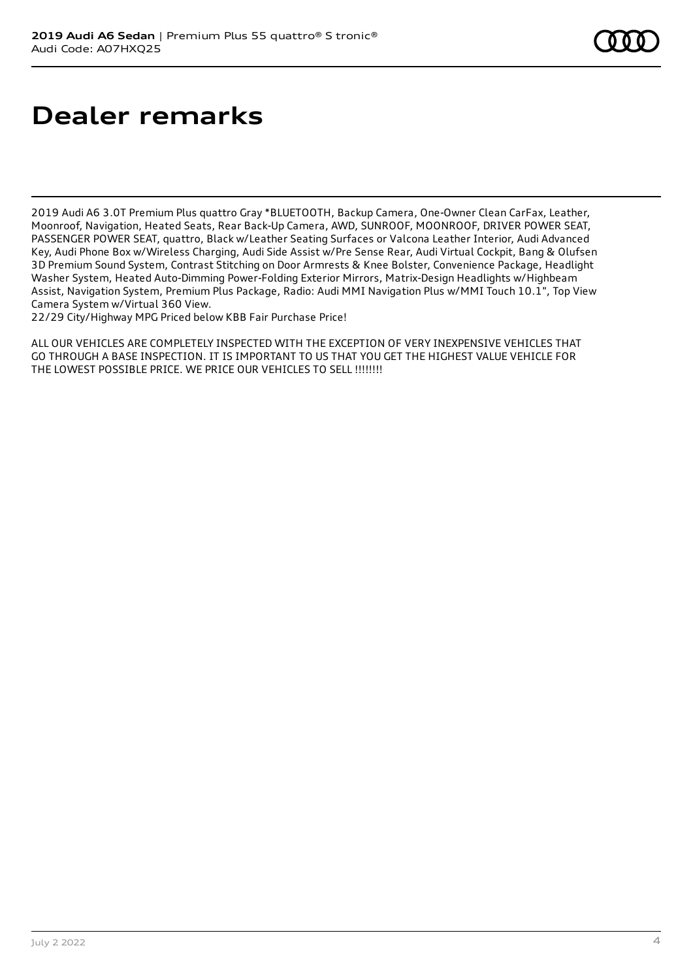# **Dealer remarks**

2019 Audi A6 3.0T Premium Plus quattro Gray \*BLUETOOTH, Backup Camera, One-Owner Clean CarFax, Leather, Moonroof, Navigation, Heated Seats, Rear Back-Up Camera, AWD, SUNROOF, MOONROOF, DRIVER POWER SEAT, PASSENGER POWER SEAT, quattro, Black w/Leather Seating Surfaces or Valcona Leather Interior, Audi Advanced Key, Audi Phone Box w/Wireless Charging, Audi Side Assist w/Pre Sense Rear, Audi Virtual Cockpit, Bang & Olufsen 3D Premium Sound System, Contrast Stitching on Door Armrests & Knee Bolster, Convenience Package, Headlight Washer System, Heated Auto-Dimming Power-Folding Exterior Mirrors, Matrix-Design Headlights w/Highbeam Assist, Navigation System, Premium Plus Package, Radio: Audi MMI Navigation Plus w/MMI Touch 10.1", Top View Camera System w/Virtual 360 View.

22/29 City/Highway MPG Priced below KBB Fair Purchase Price!

ALL OUR VEHICLES ARE COMPLETELY INSPECTED WITH THE EXCEPTION OF VERY INEXPENSIVE VEHICLES THAT GO THROUGH A BASE INSPECTION. IT IS IMPORTANT TO US THAT YOU GET THE HIGHEST VALUE VEHICLE FOR THE LOWEST POSSIBLE PRICE. WE PRICE OUR VEHICLES TO SELL !!!!!!!!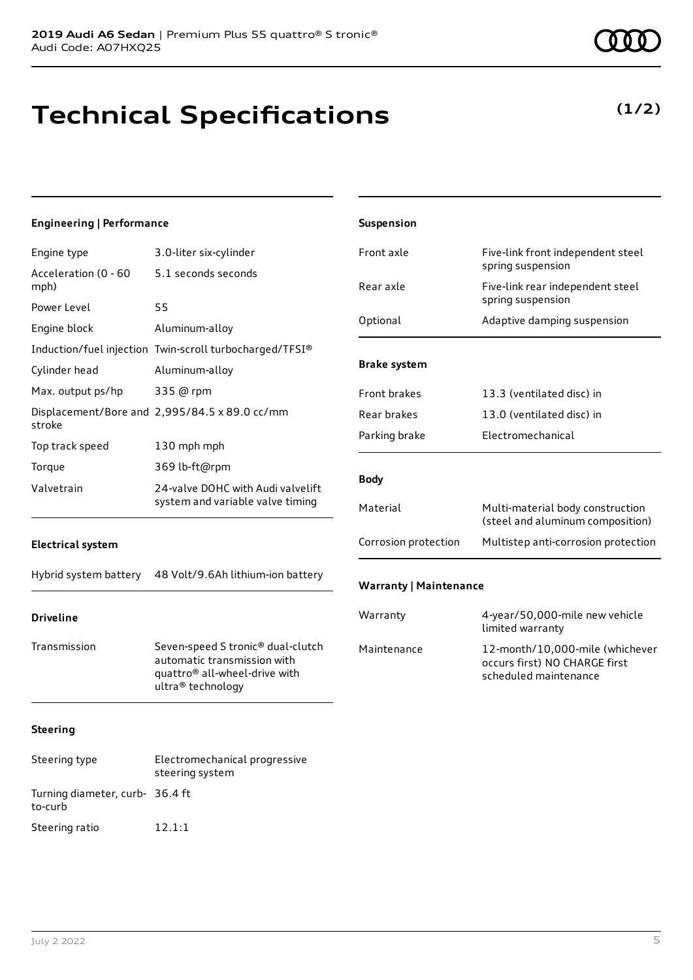# **Technical Specifications**

### **(1/2)**

| <b>Engineering   Performance</b> |                                                                                                                                                | Suspension                    |                                                                                           |
|----------------------------------|------------------------------------------------------------------------------------------------------------------------------------------------|-------------------------------|-------------------------------------------------------------------------------------------|
| Engine type                      | 3.0-liter six-cylinder                                                                                                                         | Front axle                    | Five-link front independent steel                                                         |
| Acceleration (0 - 60<br>mph)     | 5.1 seconds seconds                                                                                                                            | Rear axle                     | spring suspension<br>Five-link rear independent steel                                     |
| Power Level                      | 55                                                                                                                                             | Optional                      | spring suspension<br>Adaptive damping suspension                                          |
| Engine block                     | Aluminum-alloy                                                                                                                                 |                               |                                                                                           |
|                                  | Induction/fuel injection Twin-scroll turbocharged/TFSI®                                                                                        |                               |                                                                                           |
| Cylinder head                    | Aluminum-alloy                                                                                                                                 | <b>Brake system</b>           |                                                                                           |
| Max. output ps/hp                | 335 @ rpm                                                                                                                                      | Front brakes                  | 13.3 (ventilated disc) in                                                                 |
| stroke                           | Displacement/Bore and 2,995/84.5 x 89.0 cc/mm                                                                                                  | Rear brakes                   | 13.0 (ventilated disc) in                                                                 |
| Top track speed                  | 130 mph mph                                                                                                                                    | Parking brake                 | Electromechanical                                                                         |
| Torque                           | 369 lb-ft@rpm                                                                                                                                  |                               |                                                                                           |
| Valvetrain                       | 24-valve DOHC with Audi valvelift                                                                                                              | <b>Body</b>                   |                                                                                           |
|                                  | system and variable valve timing                                                                                                               | Material                      | Multi-material body construction<br>(steel and aluminum composition)                      |
| <b>Electrical system</b>         |                                                                                                                                                | Corrosion protection          | Multistep anti-corrosion protection                                                       |
| Hybrid system battery            | 48 Volt/9.6Ah lithium-ion battery                                                                                                              | <b>Warranty   Maintenance</b> |                                                                                           |
| <b>Driveline</b>                 |                                                                                                                                                | Warranty                      | 4-year/50,000-mile new vehicle<br>limited warranty                                        |
| Transmission                     | Seven-speed S tronic <sup>®</sup> dual-clutch<br>automatic transmission with<br>quattro <sup>®</sup> all-wheel-drive with<br>ultra® technology | Maintenance                   | 12-month/10,000-mile (whichever<br>occurs first) NO CHARGE first<br>scheduled maintenance |
| <b>Steering</b>                  |                                                                                                                                                |                               |                                                                                           |
| Steering type                    | Electromechanical progressive<br>steering system                                                                                               |                               |                                                                                           |

Turning diameter, curb-36.4 ft

to-curb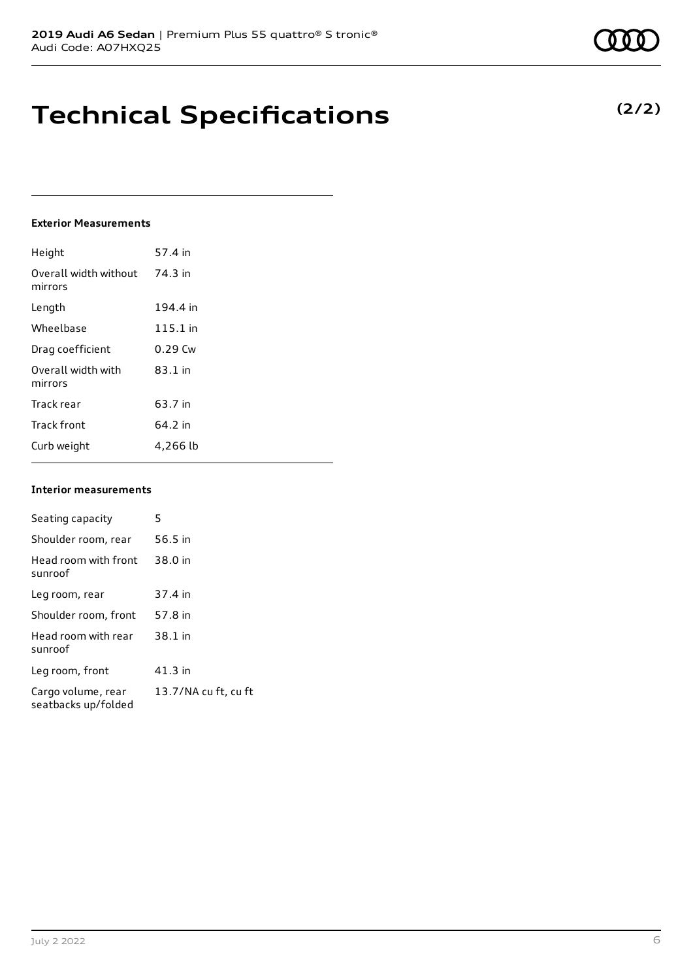## **Technical Specifications**

### **Exterior Measurements**

| Height                           | 57.4 in   |
|----------------------------------|-----------|
| Overall width without<br>mirrors | 74.3 in   |
| Length                           | 194.4 in  |
| Wheelbase                        | 115.1 in  |
| Drag coefficient                 | $0.29$ Cw |
| Overall width with<br>mirrors    | $83.1$ in |
| Track rear                       | 63.7 in   |
| <b>Track front</b>               | 64.2 in   |
| Curb weight                      | 4,266 lb  |

### **Interior measurements**

| Seating capacity                          | 5                    |
|-------------------------------------------|----------------------|
| Shoulder room, rear                       | 56.5 in              |
| Head room with front<br>sunroof           | 38.0 in              |
| Leg room, rear                            | 37.4 in              |
| Shoulder room, front                      | 57.8 in              |
| Head room with rear<br>sunroof            | 38.1 in              |
| Leg room, front                           | 41.3 in              |
| Cargo volume, rear<br>seatbacks up/folded | 13.7/NA cu ft, cu ft |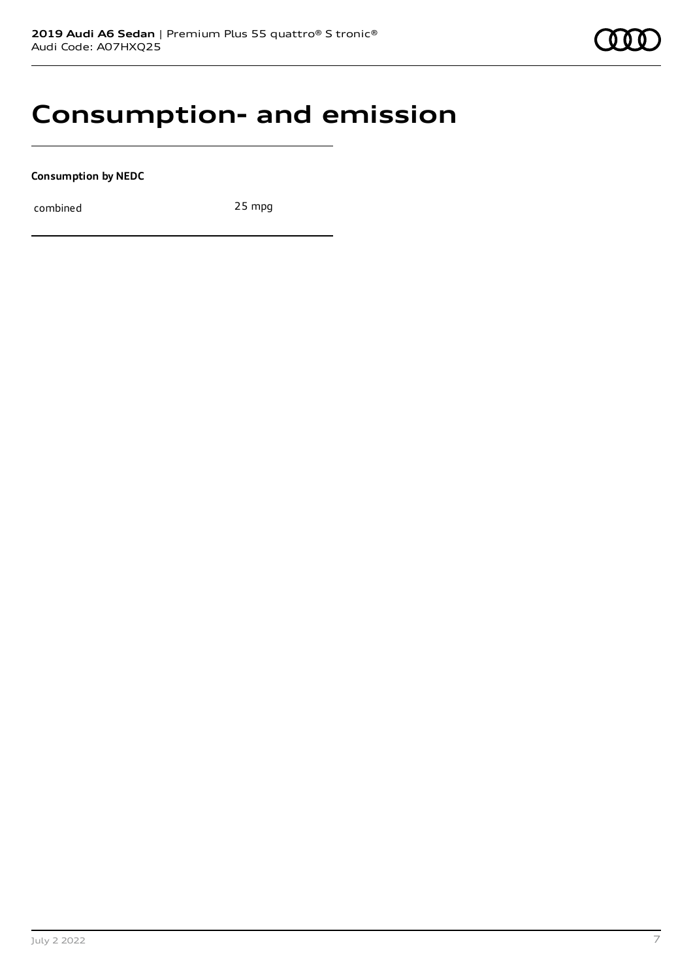### **Consumption- and emission**

**Consumption by NEDC**

combined 25 mpg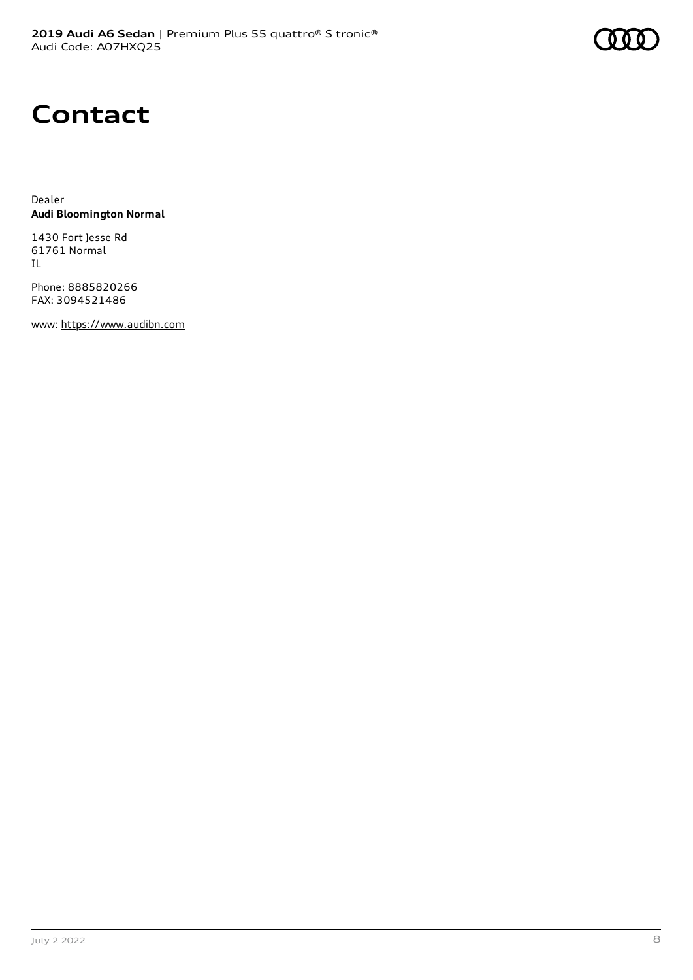## **Contact**

Dealer **Audi Bloomington Normal**

1430 Fort Jesse Rd 61761 Normal IL

Phone: 8885820266 FAX: 3094521486

www: [https://www.audibn.com](https://www.audibn.com/)